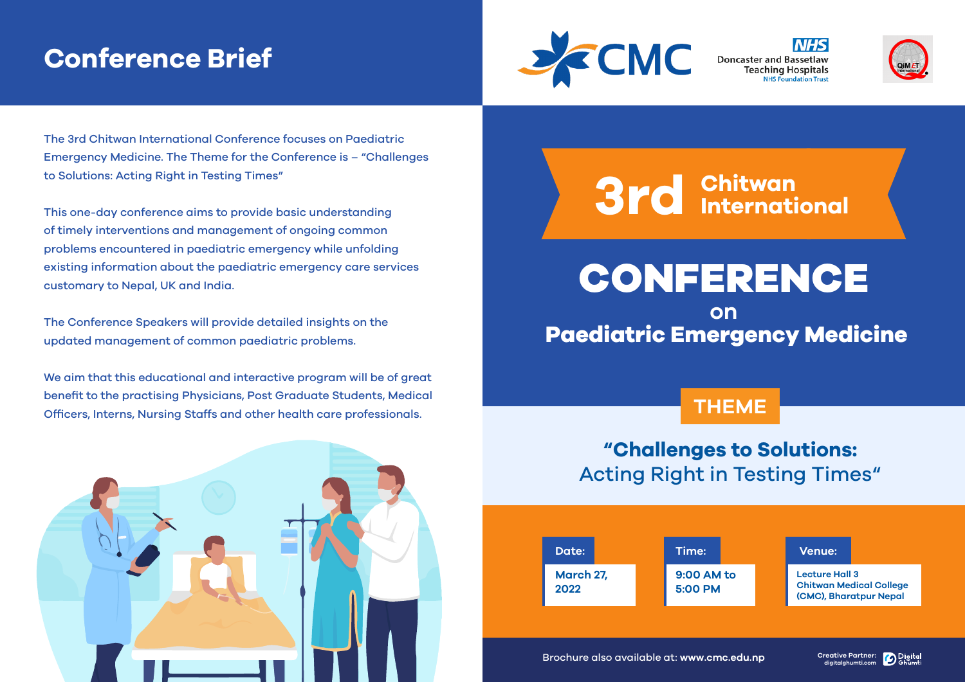# **Conference Brief**



Doncaster and Bassetlaw **Teaching Hospitals** 



The 3rd Chitwan International Conference focuses on Paediatric Emergency Medicine. The Theme for the Conference is – "Challenges to Solutions: Acting Right in Testing Times"

This one-day conference aims to provide basic understanding of timely interventions and management of ongoing common problems encountered in paediatric emergency while unfolding existing information about the paediatric emergency care services customary to Nepal, UK and India.

The Conference Speakers will provide detailed insights on the updated management of common paediatric problems.

We aim that this educational and interactive program will be of great benefit to the practising Physicians, Post Graduate Students, Medical Officers, Interns, Nursing Staffs and other health care professionals.



# **3rd Chitwan International**

CONFERENCE

# **on Paediatric Emergency Medicine**

# **THEME**

# **"Challenges to Solutions:** Acting Right in Testing Times"



Brochure also available at: **www.cmc.edu.np Creative Partner:**